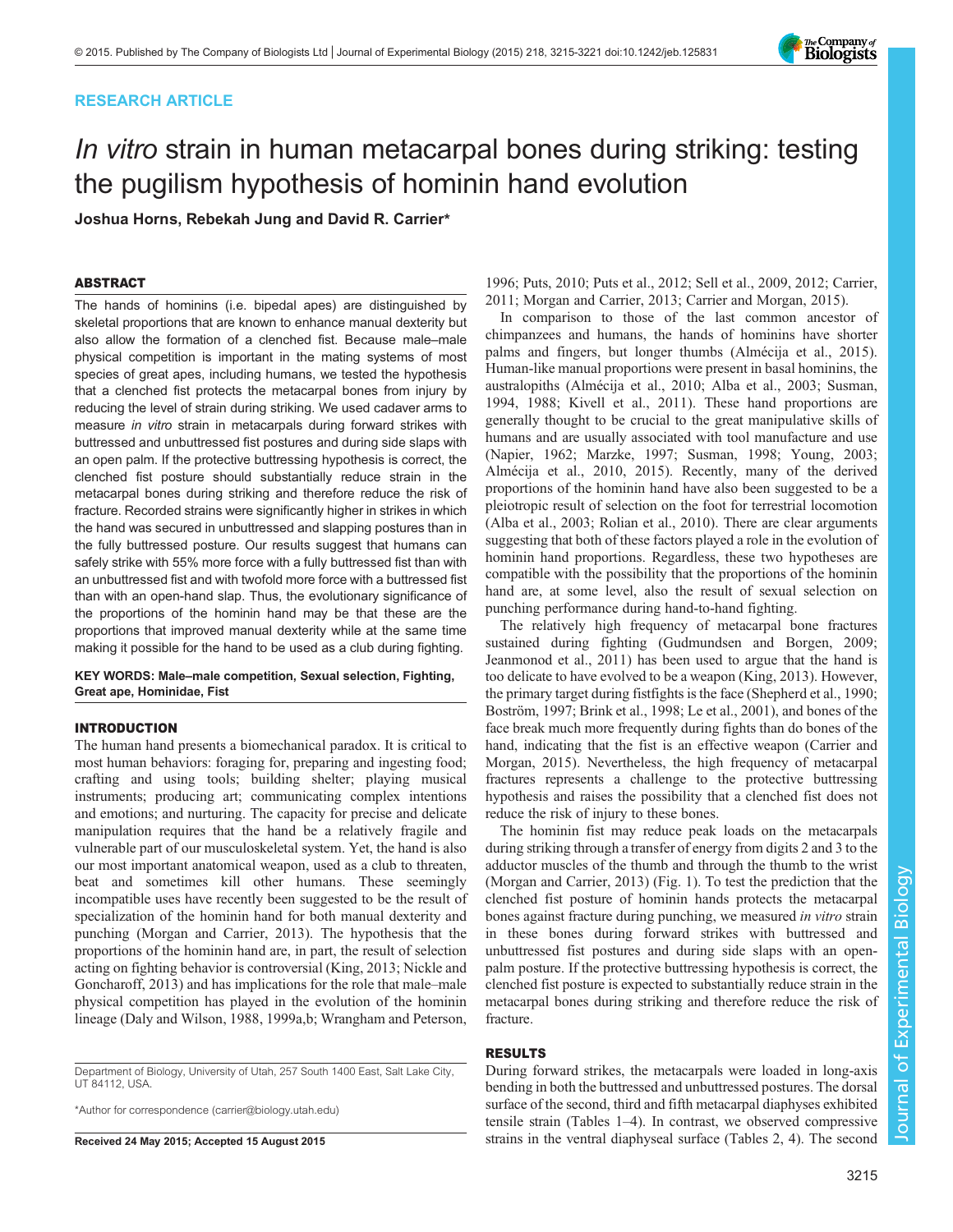# RESEARCH ARTICLE

# In vitro strain in human metacarpal bones during striking: testing the pugilism hypothesis of hominin hand evolution

Joshua Horns, Rebekah Jung and David R. Carrier\*

# ABSTRACT

The hands of hominins (i.e. bipedal apes) are distinguished by skeletal proportions that are known to enhance manual dexterity but also allow the formation of a clenched fist. Because male–male physical competition is important in the mating systems of most species of great apes, including humans, we tested the hypothesis that a clenched fist protects the metacarpal bones from injury by reducing the level of strain during striking. We used cadaver arms to measure in vitro strain in metacarpals during forward strikes with buttressed and unbuttressed fist postures and during side slaps with an open palm. If the protective buttressing hypothesis is correct, the clenched fist posture should substantially reduce strain in the metacarpal bones during striking and therefore reduce the risk of fracture. Recorded strains were significantly higher in strikes in which the hand was secured in unbuttressed and slapping postures than in the fully buttressed posture. Our results suggest that humans can safely strike with 55% more force with a fully buttressed fist than with an unbuttressed fist and with twofold more force with a buttressed fist than with an open-hand slap. Thus, the evolutionary significance of the proportions of the hominin hand may be that these are the proportions that improved manual dexterity while at the same time making it possible for the hand to be used as a club during fighting.

KEY WORDS: Male–male competition, Sexual selection, Fighting, Great ape, Hominidae, Fist

# INTRODUCTION

The human hand presents a biomechanical paradox. It is critical to most human behaviors: foraging for, preparing and ingesting food; crafting and using tools; building shelter; playing musical instruments; producing art; communicating complex intentions and emotions; and nurturing. The capacity for precise and delicate manipulation requires that the hand be a relatively fragile and vulnerable part of our musculoskeletal system. Yet, the hand is also our most important anatomical weapon, used as a club to threaten, beat and sometimes kill other humans. These seemingly incompatible uses have recently been suggested to be the result of specialization of the hominin hand for both manual dexterity and punching ([Morgan and Carrier, 2013\)](#page-5-0). The hypothesis that the proportions of the hominin hand are, in part, the result of selection acting on fighting behavior is controversial [\(King, 2013; Nickle and](#page-5-0) [Goncharoff, 2013\)](#page-5-0) and has implications for the role that male–male physical competition has played in the evolution of the hominin lineage [\(Daly and Wilson, 1988, 1999a](#page-5-0),[b](#page-5-0); [Wrangham and Peterson,](#page-6-0)

Department of Biology, University of Utah, 257 South 1400 East, Salt Lake City, UT 84112, USA.

\*Author for correspondence [\(carrier@biology.utah.edu\)](mailto:carrier@biology.utah.edu)

RESULTS

# During forward strikes, the metacarpals were loaded in long-axis bending in both the buttressed and unbuttressed postures. The dorsal surface of the second, third and fifth metacarpal diaphyses exhibited tensile strain [\(Tables 1](#page-1-0)–[4\)](#page-3-0). In contrast, we observed compressive Received 24 May 2015; Accepted 15 August 2015 strains in the ventral diaphyseal surface ([Tables 2](#page-2-0), [4\)](#page-3-0). The second

[1996;](#page-6-0) [Puts, 2010](#page-5-0); [Puts et al., 2012](#page-5-0); [Sell et al., 2009, 2012](#page-5-0); [Carrier,](#page-5-0) [2011; Morgan and Carrier, 2013; Carrier and Morgan, 2015](#page-5-0)).

In comparison to those of the last common ancestor of chimpanzees and humans, the hands of hominins have shorter palms and fingers, but longer thumbs [\(Almécija et al., 2015\)](#page-5-0). Human-like manual proportions were present in basal hominins, the australopiths ([Almécija et al., 2010; Alba et al., 2003](#page-5-0); [Susman,](#page-5-0) [1994, 1988; Kivell et al., 2011\)](#page-5-0). These hand proportions are generally thought to be crucial to the great manipulative skills of humans and are usually associated with tool manufacture and use [\(Napier, 1962](#page-5-0); [Marzke, 1997](#page-5-0); [Susman, 1998](#page-6-0); [Young, 2003](#page-6-0); [Almécija et al., 2010, 2015](#page-5-0)). Recently, many of the derived proportions of the hominin hand have also been suggested to be a pleiotropic result of selection on the foot for terrestrial locomotion [\(Alba et al., 2003; Rolian et al., 2010](#page-5-0)). There are clear arguments suggesting that both of these factors played a role in the evolution of hominin hand proportions. Regardless, these two hypotheses are compatible with the possibility that the proportions of the hominin hand are, at some level, also the result of sexual selection on punching performance during hand-to-hand fighting.

The relatively high frequency of metacarpal bone fractures sustained during fighting [\(Gudmundsen and Borgen, 2009](#page-5-0); [Jeanmonod et al., 2011\)](#page-5-0) has been used to argue that the hand is too delicate to have evolved to be a weapon ([King, 2013](#page-5-0)). However, the primary target during fistfights is the face ([Shepherd et al., 1990](#page-5-0); [Boström, 1997; Brink et al., 1998](#page-5-0); [Le et al., 2001](#page-5-0)), and bones of the face break much more frequently during fights than do bones of the hand, indicating that the fist is an effective weapon [\(Carrier and](#page-5-0) [Morgan, 2015\)](#page-5-0). Nevertheless, the high frequency of metacarpal fractures represents a challenge to the protective buttressing hypothesis and raises the possibility that a clenched fist does not reduce the risk of injury to these bones.

The hominin fist may reduce peak loads on the metacarpals during striking through a transfer of energy from digits 2 and 3 to the adductor muscles of the thumb and through the thumb to the wrist [\(Morgan and Carrier, 2013](#page-5-0)) ([Fig. 1](#page-1-0)). To test the prediction that the clenched fist posture of hominin hands protects the metacarpal bones against fracture during punching, we measured in vitro strain in these bones during forward strikes with buttressed and unbuttressed fist postures and during side slaps with an openpalm posture. If the protective buttressing hypothesis is correct, the clenched fist posture is expected to substantially reduce strain in the metacarpal bones during striking and therefore reduce the risk of fracture.

3215

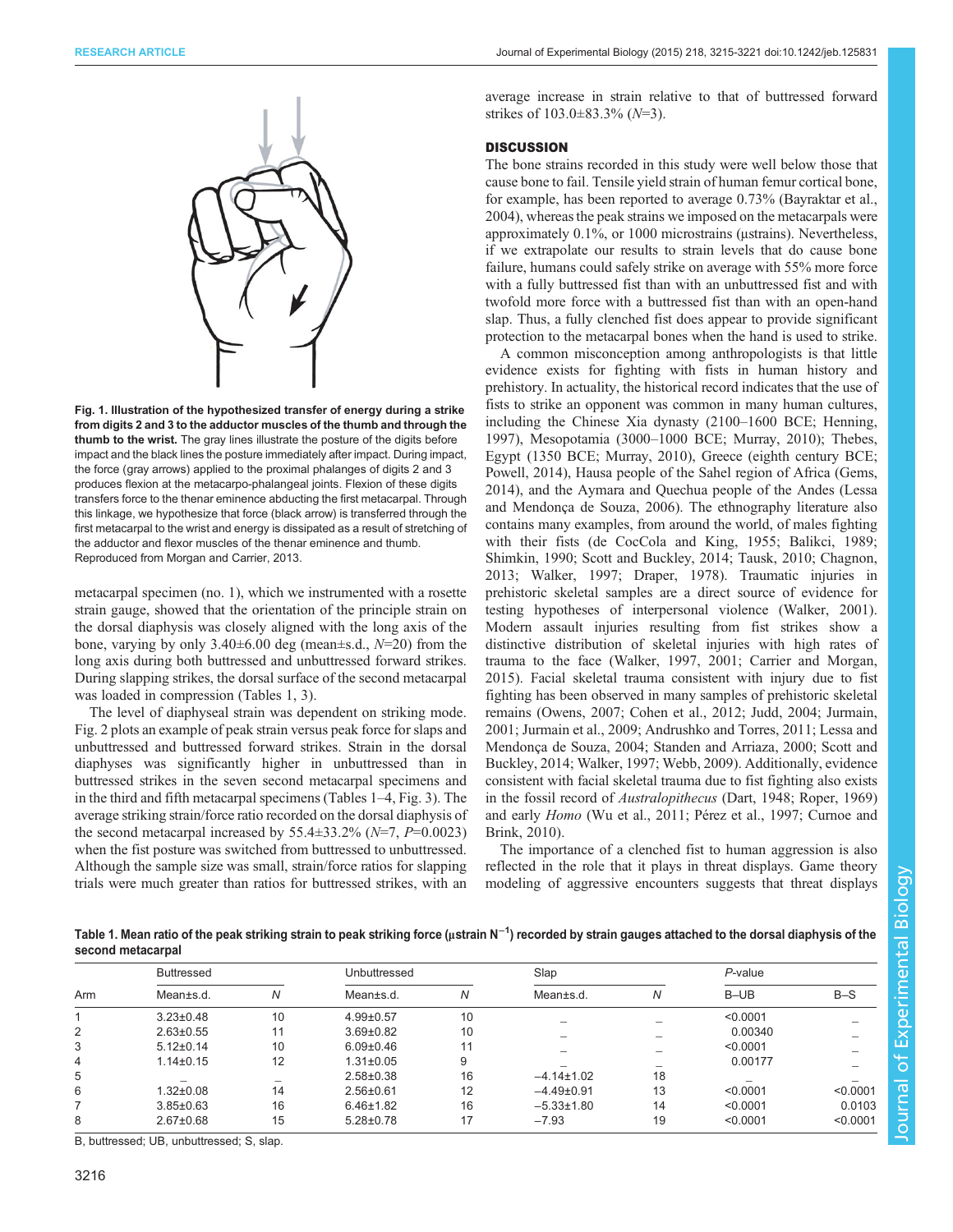<span id="page-1-0"></span>

Fig. 1. Illustration of the hypothesized transfer of energy during a strike from digits 2 and 3 to the adductor muscles of the thumb and through the thumb to the wrist. The gray lines illustrate the posture of the digits before impact and the black lines the posture immediately after impact. During impact, the force (gray arrows) applied to the proximal phalanges of digits 2 and 3 produces flexion at the metacarpo-phalangeal joints. Flexion of these digits transfers force to the thenar eminence abducting the first metacarpal. Through this linkage, we hypothesize that force (black arrow) is transferred through the first metacarpal to the wrist and energy is dissipated as a result of stretching of the adductor and flexor muscles of the thenar eminence and thumb. Reproduced from [Morgan and Carrier, 2013](#page-5-0).

metacarpal specimen (no. 1), which we instrumented with a rosette strain gauge, showed that the orientation of the principle strain on the dorsal diaphysis was closely aligned with the long axis of the bone, varying by only  $3.40\pm6.00$  deg (mean $\pm$ s.d.,  $N=20$ ) from the long axis during both buttressed and unbuttressed forward strikes. During slapping strikes, the dorsal surface of the second metacarpal was loaded in compression (Tables 1, [3](#page-2-0)).

The level of diaphyseal strain was dependent on striking mode. [Fig. 2](#page-3-0) plots an example of peak strain versus peak force for slaps and unbuttressed and buttressed forward strikes. Strain in the dorsal diaphyses was significantly higher in unbuttressed than in buttressed strikes in the seven second metacarpal specimens and in the third and fifth metacarpal specimens (Tables 1–[4](#page-3-0), [Fig. 3\)](#page-3-0). The average striking strain/force ratio recorded on the dorsal diaphysis of the second metacarpal increased by 55.4 $\pm$ 33.2% (N=7, P=0.0023) when the fist posture was switched from buttressed to unbuttressed. Although the sample size was small, strain/force ratios for slapping trials were much greater than ratios for buttressed strikes, with an

average increase in strain relative to that of buttressed forward strikes of  $103.0 \pm 83.3\%$  (N=3).

### **DISCUSSION**

The bone strains recorded in this study were well below those that cause bone to fail. Tensile yield strain of human femur cortical bone, for example, has been reported to average 0.73% ([Bayraktar et al.,](#page-5-0) [2004\)](#page-5-0), whereas the peak strains we imposed on the metacarpals were approximately 0.1%, or 1000 microstrains (μstrains). Nevertheless, if we extrapolate our results to strain levels that do cause bone failure, humans could safely strike on average with 55% more force with a fully buttressed fist than with an unbuttressed fist and with twofold more force with a buttressed fist than with an open-hand slap. Thus, a fully clenched fist does appear to provide significant protection to the metacarpal bones when the hand is used to strike.

A common misconception among anthropologists is that little evidence exists for fighting with fists in human history and prehistory. In actuality, the historical record indicates that the use of fists to strike an opponent was common in many human cultures, including the Chinese Xia dynasty (2100–1600 BCE; [Henning,](#page-5-0) [1997\)](#page-5-0), Mesopotamia (3000–1000 BCE; [Murray, 2010\)](#page-5-0); Thebes, Egypt (1350 BCE; [Murray, 2010\)](#page-5-0), Greece (eighth century BCE; [Powell, 2014\)](#page-5-0), Hausa people of the Sahel region of Africa ([Gems,](#page-5-0) [2014\)](#page-5-0), and the Aymara and Quechua people of the Andes ([Lessa](#page-5-0) [and Mendonça de Souza, 2006\)](#page-5-0). The ethnography literature also contains many examples, from around the world, of males fighting with their fists [\(de CocCola and King, 1955](#page-5-0); [Balikci, 1989](#page-5-0); [Shimkin, 1990](#page-5-0); [Scott and Buckley, 2014;](#page-5-0) [Tausk, 2010;](#page-6-0) [Chagnon,](#page-5-0) [2013;](#page-5-0) [Walker, 1997](#page-6-0); [Draper, 1978](#page-5-0)). Traumatic injuries in prehistoric skeletal samples are a direct source of evidence for testing hypotheses of interpersonal violence ([Walker, 2001\)](#page-6-0). Modern assault injuries resulting from fist strikes show a distinctive distribution of skeletal injuries with high rates of trauma to the face ([Walker, 1997, 2001](#page-6-0); [Carrier and Morgan,](#page-5-0) [2015\)](#page-5-0). Facial skeletal trauma consistent with injury due to fist fighting has been observed in many samples of prehistoric skeletal remains ([Owens, 2007; Cohen et al., 2012; Judd, 2004](#page-5-0); [Jurmain,](#page-5-0) [2001; Jurmain et al., 2009; Andrushko and Torres, 2011](#page-5-0); [Lessa and](#page-5-0) [Mendonça de Souza, 2004](#page-5-0); [Standen and Arriaza, 2000](#page-5-0); [Scott and](#page-5-0) [Buckley, 2014](#page-5-0); [Walker, 1997](#page-6-0); [Webb, 2009](#page-6-0)). Additionally, evidence consistent with facial skeletal trauma due to fist fighting also exists in the fossil record of Australopithecus [\(Dart, 1948](#page-5-0); [Roper, 1969\)](#page-5-0) and early Homo [\(Wu et al., 2011;](#page-6-0) [Pérez et al., 1997; Curnoe and](#page-5-0) [Brink, 2010\)](#page-5-0).

The importance of a clenched fist to human aggression is also reflected in the role that it plays in threat displays. Game theory modeling of aggressive encounters suggests that threat displays

Table 1. Mean ratio of the peak striking strain to peak striking force (µstrain N<sup>−1</sup>) recorded by strain gauges attached to the dorsal diaphysis of the second metacarpal

| Arm | <b>Buttressed</b> |    | Unbuttressed    |    | Slap             |                          | $P$ -value |          |
|-----|-------------------|----|-----------------|----|------------------|--------------------------|------------|----------|
|     | Mean±s.d.         | Ν  | Mean±s.d.       | N  | Mean±s.d.        | Ν                        | B-UB       | $B-S$    |
|     | $3.23 \pm 0.48$   | 10 | $4.99 \pm 0.57$ | 10 |                  |                          | < 0.0001   |          |
| 2   | $2.63 \pm 0.55$   | 11 | $3.69 + 0.82$   | 10 |                  | $\overline{\phantom{a}}$ | 0.00340    |          |
| 3   | $5.12 \pm 0.14$   | 10 | $6.09 \pm 0.46$ | 11 |                  |                          | < 0.0001   |          |
| 4   | $1.14 \pm 0.15$   | 12 | $1.31 \pm 0.05$ | 9  |                  |                          | 0.00177    |          |
| 5   |                   |    | $2.58 \pm 0.38$ | 16 | $-4.14 \pm 1.02$ | 18                       |            |          |
| 6   | $1.32 \pm 0.08$   | 14 | $2.56 \pm 0.61$ | 12 | $-4.49\pm0.91$   | 13                       | < 0.0001   | < 0.0001 |
|     | $3.85 \pm 0.63$   | 16 | $6.46 \pm 1.82$ | 16 | $-5.33 \pm 1.80$ | 14                       | < 0.0001   | 0.0103   |
| 8   | $2.67 \pm 0.68$   | 15 | $5.28 \pm 0.78$ | 17 | $-7.93$          | 19                       | < 0.0001   | < 0.0001 |

B, buttressed; UB, unbuttressed; S, slap.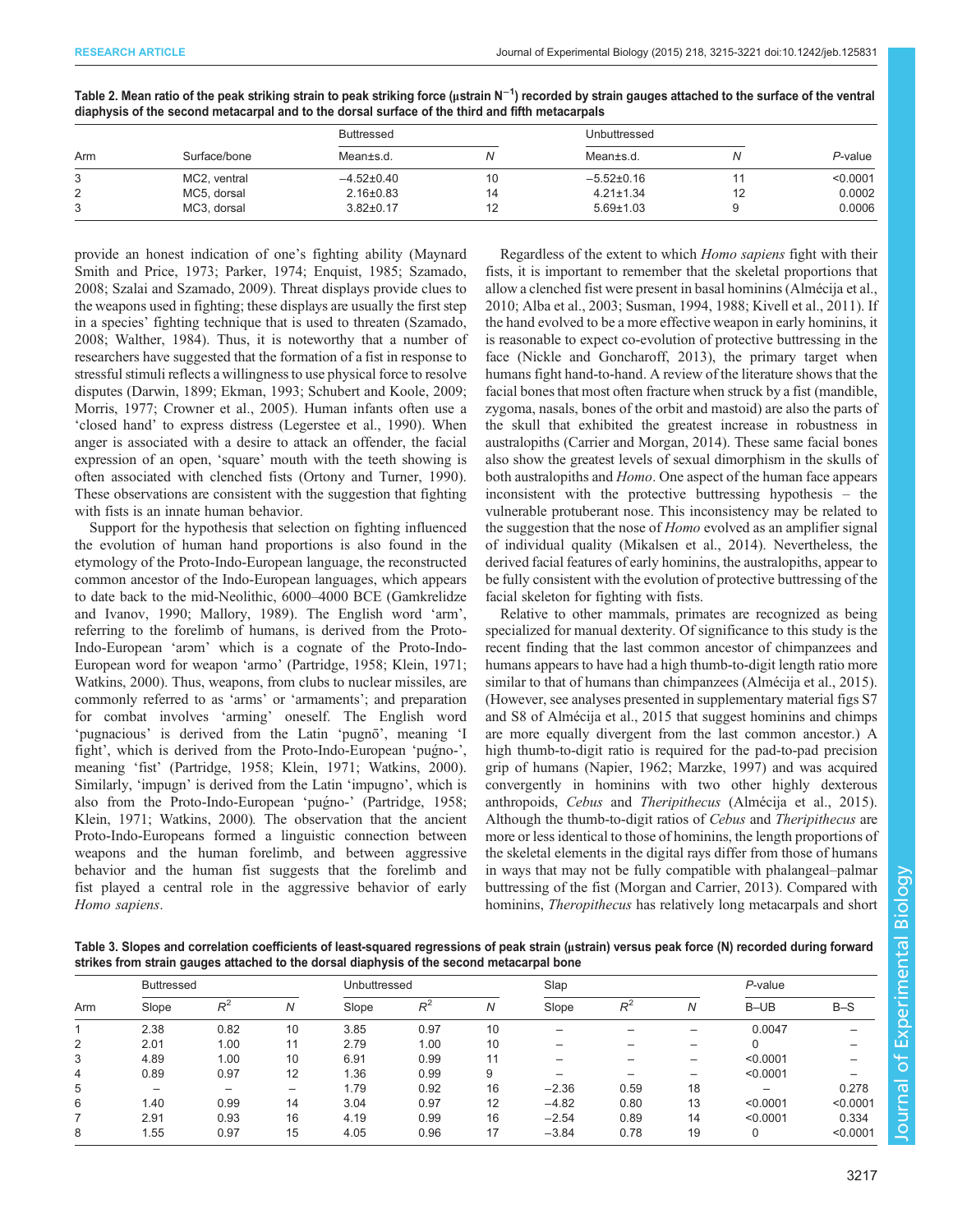<span id="page-2-0"></span>

| Table 2. Mean ratio of the peak striking strain to peak striking force (µstrain N <sup>-1</sup> ) recorded by strain gauges attached to the surface of the ventral |  |
|--------------------------------------------------------------------------------------------------------------------------------------------------------------------|--|
| diaphysis of the second metacarpal and to the dorsal surface of the third and fifth metacarpals                                                                    |  |

| Arm |              | Buttressed       |    | Unbuttressed     |    |          |
|-----|--------------|------------------|----|------------------|----|----------|
|     | Surface/bone | Mean±s.d.        |    | Mean±s.d.        |    | P-value  |
| 3   | MC2, ventral | $-4.52{\pm}0.40$ |    | $-5.52{\pm}0.16$ |    | < 0.0001 |
| 2   | MC5, dorsal  | $2.16 \pm 0.83$  | 14 | $4.21 \pm 1.34$  | 12 | 0.0002   |
|     | MC3, dorsal  | $3.82 \pm 0.17$  |    | $5.69 \pm 1.03$  |    | 0.0006   |

provide an honest indication of one's fighting ability [\(Maynard](#page-5-0) [Smith and Price, 1973; Parker, 1974; Enquist, 1985](#page-5-0); [Szamado,](#page-6-0) [2008](#page-6-0); [Szalai and Szamado, 2009](#page-6-0)). Threat displays provide clues to the weapons used in fighting; these displays are usually the first step in a species' fighting technique that is used to threaten ([Szamado,](#page-6-0) [2008](#page-6-0); [Walther, 1984\)](#page-6-0). Thus, it is noteworthy that a number of researchers have suggested that the formation of a fist in response to stressful stimuli reflects a willingness to use physical force to resolve disputes ([Darwin, 1899; Ekman, 1993; Schubert and Koole, 2009](#page-5-0); [Morris, 1977; Crowner et al., 2005](#page-5-0)). Human infants often use a 'closed hand' to express distress ([Legerstee et al., 1990\)](#page-5-0). When anger is associated with a desire to attack an offender, the facial expression of an open, 'square' mouth with the teeth showing is often associated with clenched fists [\(Ortony and Turner, 1990\)](#page-5-0). These observations are consistent with the suggestion that fighting with fists is an innate human behavior.

Support for the hypothesis that selection on fighting influenced the evolution of human hand proportions is also found in the etymology of the Proto-Indo-European language, the reconstructed common ancestor of the Indo-European languages, which appears to date back to the mid-Neolithic, 6000–4000 BCE ([Gamkrelidze](#page-5-0) [and Ivanov, 1990](#page-5-0); [Mallory, 1989\)](#page-5-0). The English word 'arm', referring to the forelimb of humans, is derived from the Proto-Indo-European 'arəm' which is a cognate of the Proto-Indo-European word for weapon 'armo' ([Partridge, 1958](#page-5-0); [Klein, 1971](#page-5-0); [Watkins, 2000\)](#page-6-0). Thus, weapons, from clubs to nuclear missiles, are commonly referred to as 'arms' or 'armaments'; and preparation for combat involves 'arming' oneself. The English word 'pugnacious' is derived from the Latin 'pugno', meaning 'I fight', which is derived from the Proto-Indo-European 'pugno-', meaning 'fist' [\(Partridge, 1958](#page-5-0); [Klein, 1971;](#page-5-0) [Watkins, 2000\)](#page-6-0). Similarly, 'impugn' is derived from the Latin 'impugno', which is also from the Proto-Indo-European 'pugno-' [\(Partridge, 1958](#page-5-0); [Klein, 1971](#page-5-0); [Watkins, 2000\)](#page-6-0). The observation that the ancient Proto-Indo-Europeans formed a linguistic connection between weapons and the human forelimb, and between aggressive behavior and the human fist suggests that the forelimb and fist played a central role in the aggressive behavior of early Homo sapiens.

Regardless of the extent to which Homo sapiens fight with their fists, it is important to remember that the skeletal proportions that allow a clenched fist were present in basal hominins ([Almécija et al.,](#page-5-0) [2010; Alba et al., 2003](#page-5-0); [Susman, 1994, 1988; Kivell et al., 2011](#page-5-0)). If the hand evolved to be a more effective weapon in early hominins, it is reasonable to expect co-evolution of protective buttressing in the face ([Nickle and Goncharoff, 2013\)](#page-5-0), the primary target when humans fight hand-to-hand. A review of the literature shows that the facial bones that most often fracture when struck by a fist (mandible, zygoma, nasals, bones of the orbit and mastoid) are also the parts of the skull that exhibited the greatest increase in robustness in australopiths (Carrier and Morgan, 2014). These same facial bones also show the greatest levels of sexual dimorphism in the skulls of both australopiths and Homo. One aspect of the human face appears inconsistent with the protective buttressing hypothesis – the vulnerable protuberant nose. This inconsistency may be related to the suggestion that the nose of *Homo* evolved as an amplifier signal of individual quality [\(Mikalsen et al., 2014](#page-5-0)). Nevertheless, the derived facial features of early hominins, the australopiths, appear to be fully consistent with the evolution of protective buttressing of the facial skeleton for fighting with fists.

Relative to other mammals, primates are recognized as being specialized for manual dexterity. Of significance to this study is the recent finding that the last common ancestor of chimpanzees and humans appears to have had a high thumb-to-digit length ratio more similar to that of humans than chimpanzees [\(Almécija et al., 2015\)](#page-5-0). (However, see analyses presented in supplementary material figs S7 and S8 of [Almécija et al., 2015](#page-5-0) that suggest hominins and chimps are more equally divergent from the last common ancestor.) A high thumb-to-digit ratio is required for the pad-to-pad precision grip of humans ([Napier, 1962; Marzke, 1997](#page-5-0)) and was acquired convergently in hominins with two other highly dexterous anthropoids, Cebus and Theripithecus [\(Almécija et al., 2015\)](#page-5-0). Although the thumb-to-digit ratios of Cebus and Theripithecus are more or less identical to those of hominins, the length proportions of the skeletal elements in the digital rays differ from those of humans in ways that may not be fully compatible with phalangeal–palmar buttressing of the fist [\(Morgan and Carrier, 2013\)](#page-5-0). Compared with hominins, Theropithecus has relatively long metacarpals and short

Table 3. Slopes and correlation coefficients of least-squared regressions of peak strain (μstrain) versus peak force (N) recorded during forward strikes from strain gauges attached to the dorsal diaphysis of the second metacarpal bone

| Arm | <b>Buttressed</b> |       | Unbuttressed |       |       | Slap |         |       | $P$ -value |          |          |
|-----|-------------------|-------|--------------|-------|-------|------|---------|-------|------------|----------|----------|
|     | Slope             | $R^2$ | N            | Slope | $R^2$ | N    | Slope   | $R^2$ | Ν          | $B-UB$   | $B-S$    |
|     | 2.38              | 0.82  | 10           | 3.85  | 0.97  | 10   |         |       |            | 0.0047   |          |
| 2   | 2.01              | 1.00  | 11           | 2.79  | 1.00  | 10   |         |       |            |          |          |
| 3   | 4.89              | 1.00  | 10           | 6.91  | 0.99  | 11   |         |       |            | < 0.0001 |          |
| 4   | 0.89              | 0.97  | 12           | 1.36  | 0.99  | 9    |         |       | -          | < 0.0001 |          |
| 5   | -                 | -     |              | 1.79  | 0.92  | 16   | $-2.36$ | 0.59  | 18         | -        | 0.278    |
| 6   | 1.40              | 0.99  | 14           | 3.04  | 0.97  | 12   | $-4.82$ | 0.80  | 13         | < 0.0001 | < 0.0001 |
|     | 2.91              | 0.93  | 16           | 4.19  | 0.99  | 16   | $-2.54$ | 0.89  | 14         | < 0.0001 | 0.334    |
| 8   | .55               | 0.97  | 15           | 4.05  | 0.96  | 17   | $-3.84$ | 0.78  | 19         | $\Omega$ | < 0.0001 |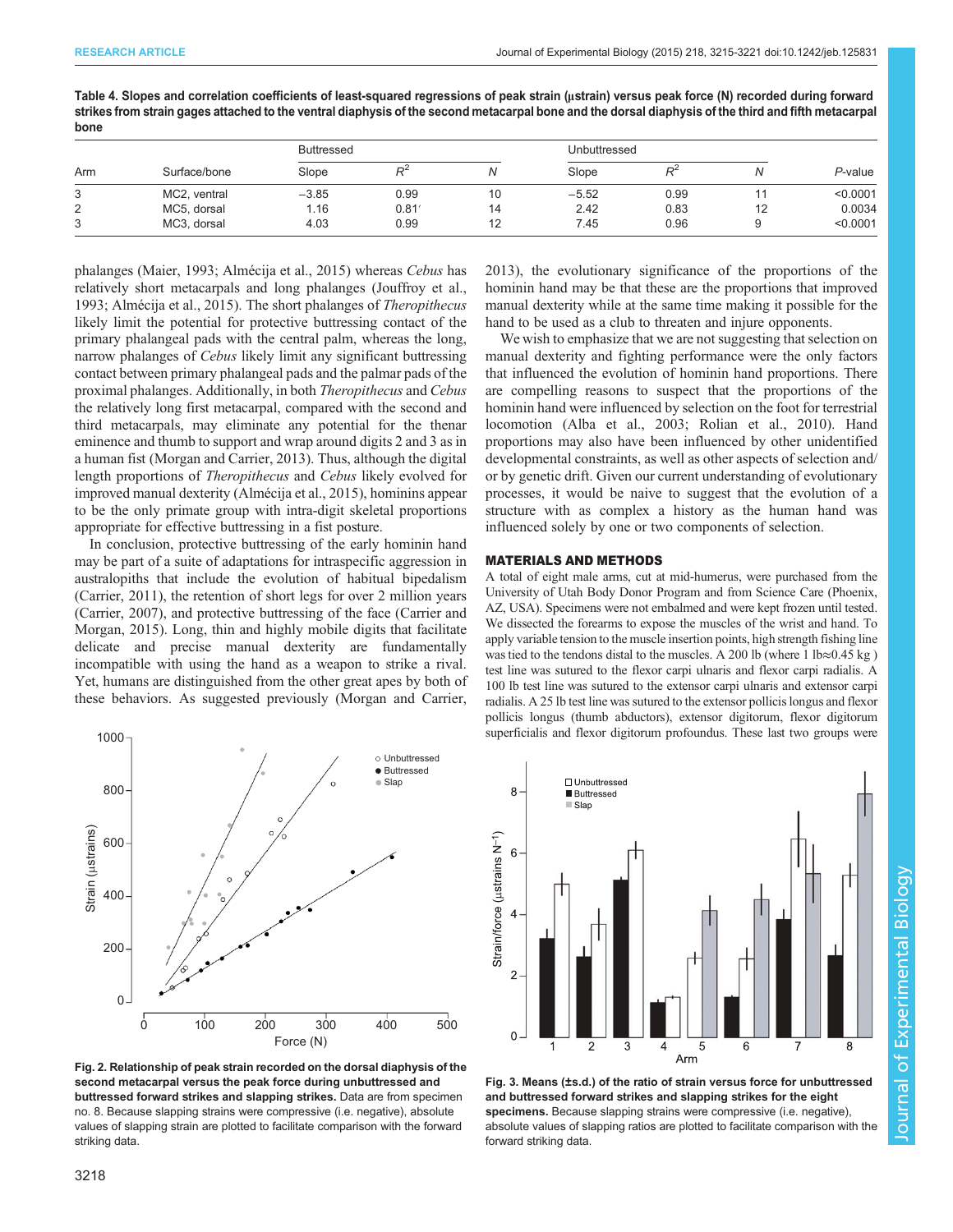<span id="page-3-0"></span>

| Table 4. Slopes and correlation coefficients of least-squared regressions of peak strain (ustrain) versus peak force (N) recorded during forward     |
|------------------------------------------------------------------------------------------------------------------------------------------------------|
| strikes from strain gages attached to the ventral diaphysis of the second metacarpal bone and the dorsal diaphysis of the third and fifth metacarpal |
| bone                                                                                                                                                 |

| Arm |              | <b>Buttressed</b> |                |    | Unbuttressed |       |    |            |
|-----|--------------|-------------------|----------------|----|--------------|-------|----|------------|
|     | Surface/bone | Slope             | R <sup>Z</sup> |    | Slope        | $P^2$ |    | $P$ -value |
| 3   | MC2, ventral | $-3.85$           | 0.99           | 10 | $-5.52$      | 0.99  |    | < 0.0001   |
| 2   | MC5, dorsal  | 1.16              | 0.81'          | 14 | 2.42         | 0.83  | 12 | 0.0034     |
| 3   | MC3, dorsal  | 4.03              | 0.99           | 12 | 7.45         | 0.96  |    | < 0.0001   |

phalanges [\(Maier, 1993; Almécija et al., 2015](#page-5-0)) whereas Cebus has relatively short metacarpals and long phalanges [\(Jouffroy et al.,](#page-5-0) [1993](#page-5-0); [Almécija et al., 2015](#page-5-0)). The short phalanges of Theropithecus likely limit the potential for protective buttressing contact of the primary phalangeal pads with the central palm, whereas the long, narrow phalanges of Cebus likely limit any significant buttressing contact between primary phalangeal pads and the palmar pads of the proximal phalanges. Additionally, in both Theropithecus and Cebus the relatively long first metacarpal, compared with the second and third metacarpals, may eliminate any potential for the thenar eminence and thumb to support and wrap around digits 2 and 3 as in a human fist [\(Morgan and Carrier, 2013\)](#page-5-0). Thus, although the digital length proportions of Theropithecus and Cebus likely evolved for improved manual dexterity [\(Almécija et al., 2015\)](#page-5-0), hominins appear to be the only primate group with intra-digit skeletal proportions appropriate for effective buttressing in a fist posture.

In conclusion, protective buttressing of the early hominin hand may be part of a suite of adaptations for intraspecific aggression in australopiths that include the evolution of habitual bipedalism [\(Carrier, 2011\)](#page-5-0), the retention of short legs for over 2 million years [\(Carrier, 2007\)](#page-5-0), and protective buttressing of the face [\(Carrier and](#page-5-0) [Morgan, 2015](#page-5-0)). Long, thin and highly mobile digits that facilitate delicate and precise manual dexterity are fundamentally incompatible with using the hand as a weapon to strike a rival. Yet, humans are distinguished from the other great apes by both of these behaviors. As suggested previously ([Morgan and Carrier,](#page-5-0)



Fig. 2. Relationship of peak strain recorded on the dorsal diaphysis of the second metacarpal versus the peak force during unbuttressed and buttressed forward strikes and slapping strikes. Data are from specimen no. 8. Because slapping strains were compressive (i.e. negative), absolute values of slapping strain are plotted to facilitate comparison with the forward striking data.

[2013\)](#page-5-0), the evolutionary significance of the proportions of the hominin hand may be that these are the proportions that improved manual dexterity while at the same time making it possible for the hand to be used as a club to threaten and injure opponents.

We wish to emphasize that we are not suggesting that selection on manual dexterity and fighting performance were the only factors that influenced the evolution of hominin hand proportions. There are compelling reasons to suspect that the proportions of the hominin hand were influenced by selection on the foot for terrestrial locomotion ([Alba et al., 2003](#page-5-0); [Rolian et al., 2010](#page-5-0)). Hand proportions may also have been influenced by other unidentified developmental constraints, as well as other aspects of selection and/ or by genetic drift. Given our current understanding of evolutionary processes, it would be naive to suggest that the evolution of a structure with as complex a history as the human hand was influenced solely by one or two components of selection.

#### MATERIALS AND METHODS

A total of eight male arms, cut at mid-humerus, were purchased from the University of Utah Body Donor Program and from Science Care (Phoenix, AZ, USA). Specimens were not embalmed and were kept frozen until tested. We dissected the forearms to expose the muscles of the wrist and hand. To apply variable tension to the muscle insertion points, high strength fishing line was tied to the tendons distal to the muscles. A 200 lb (where 1 lb≈0.45 kg ) test line was sutured to the flexor carpi ulnaris and flexor carpi radialis. A 100 lb test line was sutured to the extensor carpi ulnaris and extensor carpi radialis. A 25 lb test line was sutured to the extensor pollicis longus and flexor pollicis longus (thumb abductors), extensor digitorum, flexor digitorum superficialis and flexor digitorum profoundus. These last two groups were



Fig. 3. Means (±s.d.) of the ratio of strain versus force for unbuttressed and buttressed forward strikes and slapping strikes for the eight specimens. Because slapping strains were compressive (i.e. negative), absolute values of slapping ratios are plotted to facilitate comparison with the forward striking data.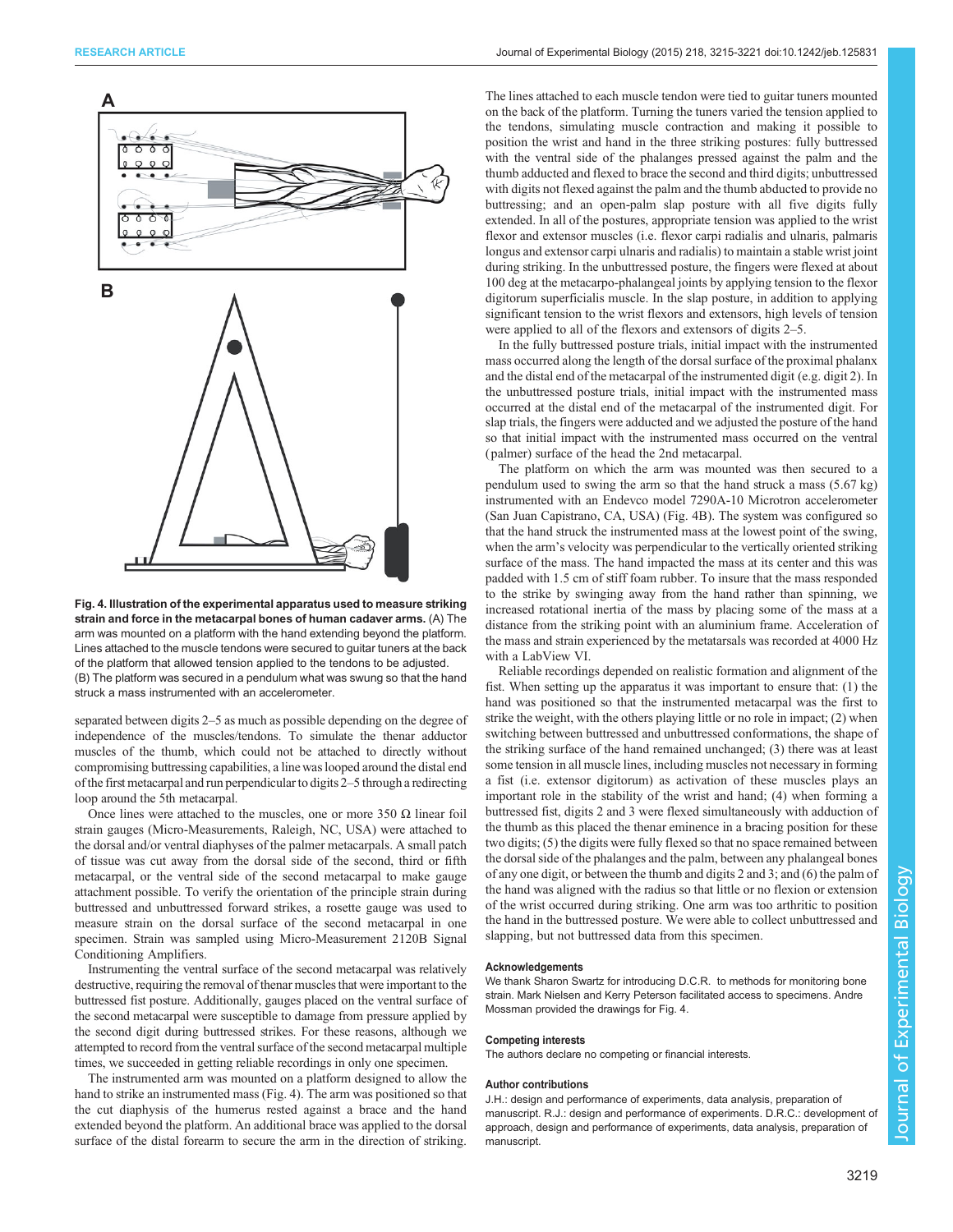

Fig. 4. Illustration of the experimental apparatus used to measure striking strain and force in the metacarpal bones of human cadaver arms. (A) The arm was mounted on a platform with the hand extending beyond the platform. Lines attached to the muscle tendons were secured to guitar tuners at the back of the platform that allowed tension applied to the tendons to be adjusted. (B) The platform was secured in a pendulum what was swung so that the hand struck a mass instrumented with an accelerometer.

separated between digits 2–5 as much as possible depending on the degree of independence of the muscles/tendons. To simulate the thenar adductor muscles of the thumb, which could not be attached to directly without compromising buttressing capabilities, a line was looped around the distal end of the first metacarpal and run perpendicular to digits 2–5 through a redirecting loop around the 5th metacarpal.

Once lines were attached to the muscles, one or more 350  $Ω$  linear foil strain gauges (Micro-Measurements, Raleigh, NC, USA) were attached to the dorsal and/or ventral diaphyses of the palmer metacarpals. A small patch of tissue was cut away from the dorsal side of the second, third or fifth metacarpal, or the ventral side of the second metacarpal to make gauge attachment possible. To verify the orientation of the principle strain during buttressed and unbuttressed forward strikes, a rosette gauge was used to measure strain on the dorsal surface of the second metacarpal in one specimen. Strain was sampled using Micro-Measurement 2120B Signal Conditioning Amplifiers.

Instrumenting the ventral surface of the second metacarpal was relatively destructive, requiring the removal of thenar muscles that were important to the buttressed fist posture. Additionally, gauges placed on the ventral surface of the second metacarpal were susceptible to damage from pressure applied by the second digit during buttressed strikes. For these reasons, although we attempted to record from the ventral surface of the second metacarpal multiple times, we succeeded in getting reliable recordings in only one specimen.

The instrumented arm was mounted on a platform designed to allow the hand to strike an instrumented mass (Fig. 4). The arm was positioned so that the cut diaphysis of the humerus rested against a brace and the hand extended beyond the platform. An additional brace was applied to the dorsal surface of the distal forearm to secure the arm in the direction of striking.

The lines attached to each muscle tendon were tied to guitar tuners mounted on the back of the platform. Turning the tuners varied the tension applied to the tendons, simulating muscle contraction and making it possible to position the wrist and hand in the three striking postures: fully buttressed with the ventral side of the phalanges pressed against the palm and the thumb adducted and flexed to brace the second and third digits; unbuttressed with digits not flexed against the palm and the thumb abducted to provide no buttressing; and an open-palm slap posture with all five digits fully extended. In all of the postures, appropriate tension was applied to the wrist flexor and extensor muscles (i.e. flexor carpi radialis and ulnaris, palmaris longus and extensor carpi ulnaris and radialis) to maintain a stable wrist joint during striking. In the unbuttressed posture, the fingers were flexed at about 100 deg at the metacarpo-phalangeal joints by applying tension to the flexor digitorum superficialis muscle. In the slap posture, in addition to applying significant tension to the wrist flexors and extensors, high levels of tension were applied to all of the flexors and extensors of digits 2–5.

In the fully buttressed posture trials, initial impact with the instrumented mass occurred along the length of the dorsal surface of the proximal phalanx and the distal end of the metacarpal of the instrumented digit (e.g. digit 2). In the unbuttressed posture trials, initial impact with the instrumented mass occurred at the distal end of the metacarpal of the instrumented digit. For slap trials, the fingers were adducted and we adjusted the posture of the hand so that initial impact with the instrumented mass occurred on the ventral ( palmer) surface of the head the 2nd metacarpal.

The platform on which the arm was mounted was then secured to a pendulum used to swing the arm so that the hand struck a mass (5.67 kg) instrumented with an Endevco model 7290A-10 Microtron accelerometer (San Juan Capistrano, CA, USA) (Fig. 4B). The system was configured so that the hand struck the instrumented mass at the lowest point of the swing, when the arm's velocity was perpendicular to the vertically oriented striking surface of the mass. The hand impacted the mass at its center and this was padded with 1.5 cm of stiff foam rubber. To insure that the mass responded to the strike by swinging away from the hand rather than spinning, we increased rotational inertia of the mass by placing some of the mass at a distance from the striking point with an aluminium frame. Acceleration of the mass and strain experienced by the metatarsals was recorded at 4000 Hz with a LabView VI.

Reliable recordings depended on realistic formation and alignment of the fist. When setting up the apparatus it was important to ensure that: (1) the hand was positioned so that the instrumented metacarpal was the first to strike the weight, with the others playing little or no role in impact; (2) when switching between buttressed and unbuttressed conformations, the shape of the striking surface of the hand remained unchanged; (3) there was at least some tension in all muscle lines, including muscles not necessary in forming a fist (i.e. extensor digitorum) as activation of these muscles plays an important role in the stability of the wrist and hand; (4) when forming a buttressed fist, digits 2 and 3 were flexed simultaneously with adduction of the thumb as this placed the thenar eminence in a bracing position for these two digits; (5) the digits were fully flexed so that no space remained between the dorsal side of the phalanges and the palm, between any phalangeal bones of any one digit, or between the thumb and digits 2 and 3; and (6) the palm of the hand was aligned with the radius so that little or no flexion or extension of the wrist occurred during striking. One arm was too arthritic to position the hand in the buttressed posture. We were able to collect unbuttressed and slapping, but not buttressed data from this specimen.

#### Acknowledgements

We thank Sharon Swartz for introducing D.C.R. to methods for monitoring bone strain. Mark Nielsen and Kerry Peterson facilitated access to specimens. Andre Mossman provided the drawings for Fig. 4.

#### Competing interests

The authors declare no competing or financial interests.

### Author contributions

J.H.: design and performance of experiments, data analysis, preparation of manuscript. R.J.: design and performance of experiments. D.R.C.: development of approach, design and performance of experiments, data analysis, preparation of manuscript.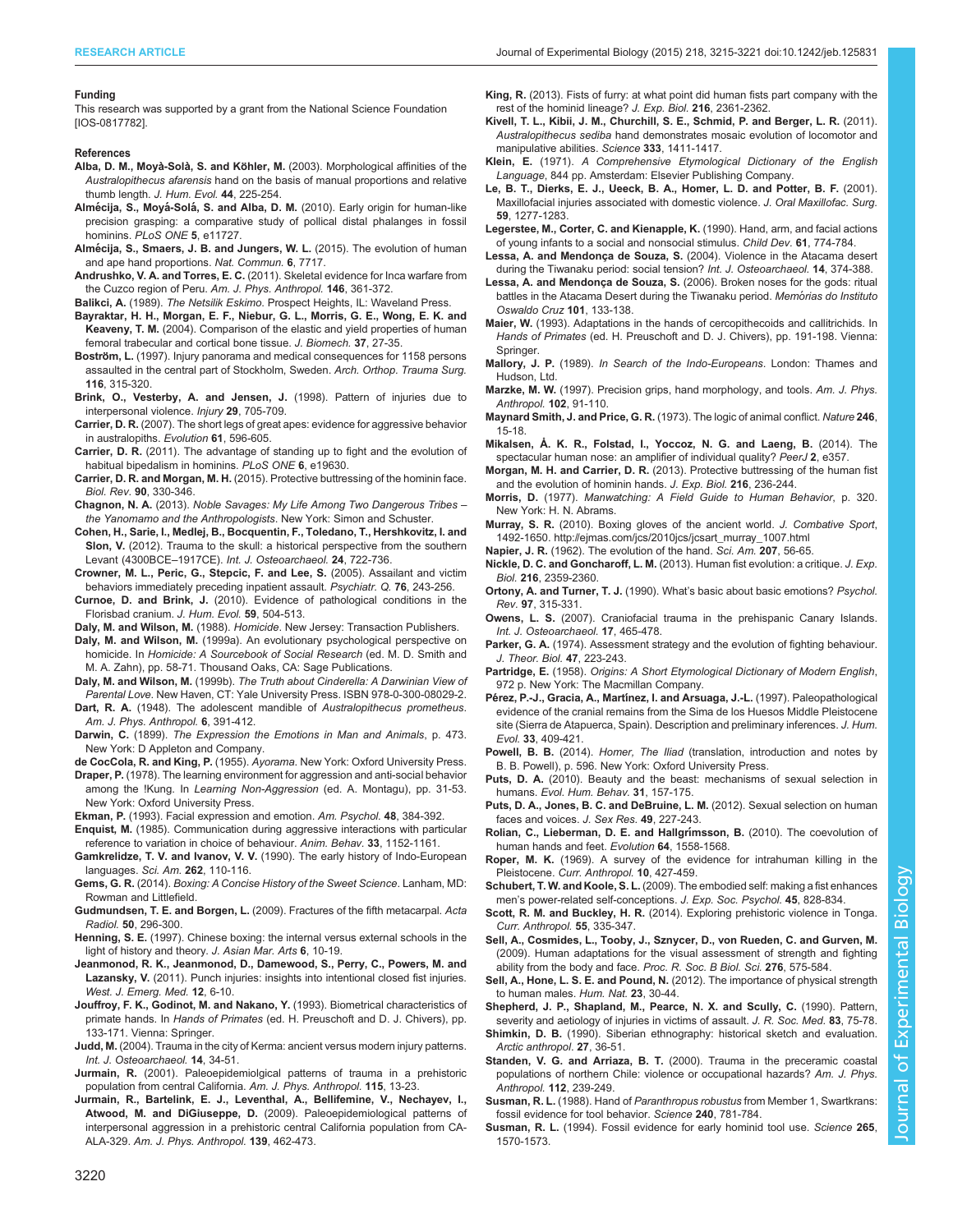#### <span id="page-5-0"></span>Funding

This research was supported by a grant from the National Science Foundation [IOS-0817782].

#### References

- Alba, D. M., Moyà-Solà, S. and Köhler, M. [\(2003\). Morphological affinities of the](http://dx.doi.org/10.1016/S0047-2484(02)00207-5) Australopithecus afarensis [hand on the basis of manual proportions and relative](http://dx.doi.org/10.1016/S0047-2484(02)00207-5) [thumb length.](http://dx.doi.org/10.1016/S0047-2484(02)00207-5) J. Hum. Evol. 44, 225-254.
- Almécija, S., Moyá-Solá, S. and Alba, D. M. [\(2010\). Early origin for human-like](http://dx.doi.org/10.1371/journal.pone.0011727) [precision grasping: a comparative study of pollical distal phalanges in fossil](http://dx.doi.org/10.1371/journal.pone.0011727) hominins. [PLoS ONE](http://dx.doi.org/10.1371/journal.pone.0011727) 5, e11727.
- Almé[cija, S., Smaers, J. B. and Jungers, W. L.](http://dx.doi.org/10.1038/ncomms8717) (2015). The evolution of human [and ape hand proportions.](http://dx.doi.org/10.1038/ncomms8717) Nat. Commun. 6, 7717.
- Andrushko, V. A. and Torres, E. C. [\(2011\). Skeletal evidence for Inca warfare from](http://dx.doi.org/10.1002/ajpa.21574) [the Cuzco region of Peru.](http://dx.doi.org/10.1002/ajpa.21574) Am. J. Phys. Anthropol. 146, 361-372.
- Balikci, A. (1989). The Netsilik Eskimo. Prospect Heights, IL: Waveland Press.
- [Bayraktar, H. H., Morgan, E. F., Niebur, G. L., Morris, G. E., Wong, E. K. and](http://dx.doi.org/10.1016/S0021-9290(03)00257-4) Keaveny, T. M. [\(2004\). Comparison of the elastic and yield properties of human](http://dx.doi.org/10.1016/S0021-9290(03)00257-4) [femoral trabecular and cortical bone tissue.](http://dx.doi.org/10.1016/S0021-9290(03)00257-4) J. Biomech. 37, 27-35.
- Boström, L. [\(1997\). Injury panorama and medical consequences for 1158 persons](http://dx.doi.org/10.1007/BF00433980) [assaulted in the central part of Stockholm, Sweden.](http://dx.doi.org/10.1007/BF00433980) Arch. Orthop. Trauma Surg. 116[, 315-320.](http://dx.doi.org/10.1007/BF00433980)
- [Brink, O., Vesterby, A. and Jensen, J.](http://dx.doi.org/10.1016/S0020-1383(98)00176-4) (1998). Pattern of injuries due to [interpersonal violence.](http://dx.doi.org/10.1016/S0020-1383(98)00176-4) Injury 29, 705-709.
- Carrier, D. R. [\(2007\). The short legs of great apes: evidence for aggressive behavior](http://dx.doi.org/10.1111/j.1558-5646.2007.00061.x) [in australopiths.](http://dx.doi.org/10.1111/j.1558-5646.2007.00061.x) Evolution 61, 596-605.
- Carrier, D. R. [\(2011\). The advantage of standing up to fight and the evolution of](http://dx.doi.org/10.1371/journal.pone.0019630) [habitual bipedalism in hominins.](http://dx.doi.org/10.1371/journal.pone.0019630) PLoS ONE 6, e19630.
- Carrier, D. R. and Morgan, M. H. [\(2015\). Protective buttressing of the hominin face.](http://dx.doi.org/10.1111/brv.12112) Biol. Rev. 90[, 330-346.](http://dx.doi.org/10.1111/brv.12112)
- Chagnon, N. A. (2013). Noble Savages: My Life Among Two Dangerous Tribes the Yanomamo and the Anthropologists. New York: Simon and Schuster.
- [Cohen, H., Sarie, I., Medlej, B., Bocquentin, F., Toledano, T., Hershkovitz, I. and](http://dx.doi.org/10.1002/oa.2258) Slon, V. [\(2012\). Trauma to the skull: a historical perspective from the southern](http://dx.doi.org/10.1002/oa.2258) Levant (4300BCE–1917CE). [Int. J. Osteoarchaeol.](http://dx.doi.org/10.1002/oa.2258) 24, 722-736.
- [Crowner, M. L., Peric, G., Stepcic, F. and Lee, S.](http://dx.doi.org/10.1007/s11126-005-2977-2) (2005). Assailant and victim [behaviors immediately preceding inpatient assault.](http://dx.doi.org/10.1007/s11126-005-2977-2) Psychiatr. Q. 76, 243-256.
- Curnoe, D. and Brink, J. [\(2010\). Evidence of pathological conditions in the](http://dx.doi.org/10.1016/j.jhevol.2010.06.003) [Florisbad cranium.](http://dx.doi.org/10.1016/j.jhevol.2010.06.003) J. Hum. Evol. 59, 504-513.
- Daly, M. and Wilson, M. (1988). Homicide. New Jersey: Transaction Publishers.
- Daly, M. and Wilson, M. (1999a). An evolutionary psychological perspective on homicide. In Homicide: A Sourcebook of Social Research (ed. M. D. Smith and M. A. Zahn), pp. 58-71. Thousand Oaks, CA: Sage Publications.
- Daly, M. and Wilson, M. (1999b). The Truth about Cinderella: A Darwinian View of Parental Love. New Haven, CT: Yale University Press. ISBN 978-0-300-08029-2.
- Dart, R. A. [\(1948\). The adolescent mandible of](http://dx.doi.org/10.1002/ajpa.1330060410) Australopithecus prometheus. [Am. J. Phys. Anthropol.](http://dx.doi.org/10.1002/ajpa.1330060410) 6, 391-412.
- Darwin, C. (1899). The Expression the Emotions in Man and Animals, p. 473. New York: D Appleton and Company.
- de CocCola, R. and King, P. (1955). Ayorama. New York: Oxford University Press. Draper, P. (1978). The learning environment for aggression and anti-social behavior among the !Kung. In Learning Non-Aggression (ed. A. Montagu), pp. 31-53. New York: Oxford University Press.
- Ekman, P. [\(1993\). Facial expression and emotion.](http://dx.doi.org/10.1037/0003-066X.48.4.384) Am. Psychol. 48, 384-392.
- Enquist, M. [\(1985\). Communication during aggressive interactions with particular](http://dx.doi.org/10.1016/S0003-3472(85)80175-5) [reference to variation in choice of behaviour.](http://dx.doi.org/10.1016/S0003-3472(85)80175-5) Anim. Behav. 33, 1152-1161.
- Gamkrelidze, T. V. and Ivanov, V. V. [\(1990\). The early history of Indo-European](http://dx.doi.org/10.1038/scientificamerican0390-110) [languages.](http://dx.doi.org/10.1038/scientificamerican0390-110) Sci. Am. 262, 110-116.
- Gems, G. R. (2014). Boxing: A Concise History of the Sweet Science. Lanham, MD: Rowman and Littlefield.
- Gudmundsen, T. E. and Borgen, L. [\(2009\). Fractures of the fifth metacarpal.](http://dx.doi.org/10.1080/02841850802709201) Acta Radiol. 50[, 296-300.](http://dx.doi.org/10.1080/02841850802709201)
- Henning, S. E. (1997). Chinese boxing: the internal versus external schools in the light of history and theory. J. Asian Mar. Arts 6, 10-19.
- Jeanmonod, R. K., Jeanmonod, D., Damewood, S., Perry, C., Powers, M. and Lazansky, V. (2011). Punch injuries: insights into intentional closed fist injuries. West. J. Emerg. Med. 12, 6-10.
- [Jouffroy, F. K., Godinot, M. and Nakano, Y.](http://dx.doi.org/10.1007/978-3-7091-6914-8_9) (1993). Biometrical characteristics of primate hands. In Hands of Primates [\(ed. H. Preuschoft and D. J. Chivers\), pp.](http://dx.doi.org/10.1007/978-3-7091-6914-8_9) [133-171. Vienna: Springer.](http://dx.doi.org/10.1007/978-3-7091-6914-8_9)
- Judd, M. [\(2004\). Trauma in the city of Kerma: ancient versus modern injury patterns.](http://dx.doi.org/10.1002/oa.711) [Int. J. Osteoarchaeol.](http://dx.doi.org/10.1002/oa.711) 14, 34-51.
- Jurmain, R. [\(2001\). Paleoepidemiolgical patterns of trauma in a prehistoric](http://dx.doi.org/10.1002/ajpa.1052) [population from central California.](http://dx.doi.org/10.1002/ajpa.1052) Am. J. Phys. Anthropol. 115, 13-23.
- [Jurmain, R., Bartelink, E. J., Leventhal, A., Bellifemine, V., Nechayev, I.,](http://dx.doi.org/10.1002/ajpa.21002) Atwood, M. and DiGiuseppe, D. [\(2009\). Paleoepidemiological patterns of](http://dx.doi.org/10.1002/ajpa.21002) [interpersonal aggression in a prehistoric central California population from CA-](http://dx.doi.org/10.1002/ajpa.21002)ALA-329. [Am. J. Phys. Anthropol.](http://dx.doi.org/10.1002/ajpa.21002) 139, 462-473.

King, R. [\(2013\). Fists of furry: at what point did human fists part company with the](http://dx.doi.org/10.1242/jeb.085597) [rest of the hominid lineage?](http://dx.doi.org/10.1242/jeb.085597) J. Exp. Biol. 216, 2361-2362.

- [Kivell, T. L., Kibii, J. M., Churchill, S. E., Schmid, P. and Berger, L. R.](http://dx.doi.org/10.1126/science.1202625) (2011). Australopithecus sediba [hand demonstrates mosaic evolution of locomotor and](http://dx.doi.org/10.1126/science.1202625) [manipulative abilities.](http://dx.doi.org/10.1126/science.1202625) Science 333, 1411-1417.
- Klein, E. (1971). A Comprehensive Etymological Dictionary of the English Language, 844 pp. Amsterdam: Elsevier Publishing Company.
- [Le, B. T., Dierks, E. J., Ueeck, B. A., Homer, L. D. and Potter, B. F.](http://dx.doi.org/10.1053/joms.2001.27490) (2001). [Maxillofacial injuries associated with domestic violence.](http://dx.doi.org/10.1053/joms.2001.27490) J. Oral Maxillofac. Surg. 59[, 1277-1283.](http://dx.doi.org/10.1053/joms.2001.27490)
- [Legerstee, M., Corter, C. and Kienapple, K.](http://dx.doi.org/10.2307/1130962) (1990). Hand, arm, and facial actions [of young infants to a social and nonsocial stimulus.](http://dx.doi.org/10.2307/1130962) Child Dev. 61, 774-784.
- [Lessa, A. and Mendonça de Souza, S.](http://dx.doi.org/10.1002/oa.722) (2004). Violence in the Atacama desert [during the Tiwanaku period: social tension?](http://dx.doi.org/10.1002/oa.722) Int. J. Osteoarchaeol. 14, 374-388.
- Lessa, A. and Mendonça de Souza, S. (2006). Broken noses for the gods: ritual battles in the Atacama Desert during the Tiwanaku period. Memórias do Instituto Oswaldo Cruz 101, 133-138.
- Maier, W. [\(1993\). Adaptations in the hands of cercopithecoids and callitrichids. In](http://dx.doi.org/10.1007/978-3-7091-6914-8_12) Hands of Primates [\(ed. H. Preuschoft and D. J. Chivers\), pp. 191-198. Vienna:](http://dx.doi.org/10.1007/978-3-7091-6914-8_12) [Springer.](http://dx.doi.org/10.1007/978-3-7091-6914-8_12)
- Mallory, J. P. (1989). In Search of the Indo-Europeans. London: Thames and Hudson, Ltd.
- Marzke, M. W. [\(1997\). Precision grips, hand morphology, and tools.](http://dx.doi.org/10.1002/(SICI)1096-8644(199701)102:1<91::AID-AJPA8>3.0.CO;2-G) Am. J. Phys. [Anthropol.](http://dx.doi.org/10.1002/(SICI)1096-8644(199701)102:1<91::AID-AJPA8>3.0.CO;2-G) 102, 91-110.
- [Maynard Smith, J. and Price, G. R.](http://dx.doi.org/10.1038/246015a0) (1973). The logic of animal conflict. Nature 246, [15-18.](http://dx.doi.org/10.1038/246015a0)
- [Mikalsen, Å. K. R., Folstad, I., Yoccoz, N. G. and Laeng, B.](http://dx.doi.org/10.7717/peerj.357) (2014). The [spectacular human nose: an amplifier of individual quality?](http://dx.doi.org/10.7717/peerj.357) PeerJ 2, e357.
- Morgan, M. H. and Carrier, D. R. [\(2013\). Protective buttressing of the human fist](http://dx.doi.org/10.1242/jeb.075713) [and the evolution of hominin hands.](http://dx.doi.org/10.1242/jeb.075713) J. Exp. Biol. 216, 236-244.
- Morris, D. (1977). Manwatching: A Field Guide to Human Behavior, p. 320. New York: H. N. Abrams.
- Murray, S. R. (2010). Boxing gloves of the ancient world. J. Combative Sport, 1492-1650. [http://ejmas.com/jcs/2010jcs/jcsart\\_murray\\_1007.html](http://ejmas.com/jcs/2010jcs/jcsart_murray_1007.html)
- Napier, J. R. [\(1962\). The evolution of the hand.](http://dx.doi.org/10.1038/scientificamerican1262-56) Sci. Am. 207, 56-65.
- Nickle, D. C. and Goncharoff, L. M. [\(2013\). Human fist evolution: a critique.](http://dx.doi.org/10.1242/jeb.084871) J. Exp. Biol. 216[, 2359-2360.](http://dx.doi.org/10.1242/jeb.084871)
- Ortony, A. and Turner, T. J. (1990). What'[s basic about basic emotions?](http://dx.doi.org/10.1037/0033-295X.97.3.315) Psychol. Rev. 97[, 315-331.](http://dx.doi.org/10.1037/0033-295X.97.3.315)
- Owens, L. S. [\(2007\). Craniofacial trauma in the prehispanic Canary Islands.](http://dx.doi.org/10.1002/oa.898) [Int. J. Osteoarchaeol.](http://dx.doi.org/10.1002/oa.898) 17, 465-478.
- Parker, G. A. [\(1974\). Assessment strategy and the evolution of fighting behaviour.](http://dx.doi.org/10.1016/0022-5193(74)90111-8) [J. Theor. Biol.](http://dx.doi.org/10.1016/0022-5193(74)90111-8) 47, 223-243.
- Partridge, E. (1958). Origins: A Short Etymological Dictionary of Modern English, 972 p. New York: The Macmillan Company.
- Pé[rez, P.-J., Gracia, A., Mart](http://dx.doi.org/10.1006/jhev.1997.0139)ínez, I. and Arsuaga, J.-L. (1997). Paleopathological [evidence of the cranial remains from the Sima de los Huesos Middle Pleistocene](http://dx.doi.org/10.1006/jhev.1997.0139) [site \(Sierra de Atapuerca, Spain\). Description and preliminary inferences.](http://dx.doi.org/10.1006/jhev.1997.0139) J. Hum. Evol. 33[, 409-421.](http://dx.doi.org/10.1006/jhev.1997.0139)
- Powell, B. B. (2014). Homer, The Iliad (translation, introduction and notes by B. B. Powell), p. 596. New York: Oxford University Press.
- Puts, D. A. [\(2010\). Beauty and the beast: mechanisms of sexual selection in](http://dx.doi.org/10.1016/j.evolhumbehav.2010.02.005) humans. [Evol. Hum. Behav.](http://dx.doi.org/10.1016/j.evolhumbehav.2010.02.005) 31, 157-175.
- [Puts, D. A., Jones, B. C. and DeBruine, L. M.](http://dx.doi.org/10.1080/00224499.2012.658924) (2012). Sexual selection on human [faces and voices.](http://dx.doi.org/10.1080/00224499.2012.658924) J. Sex Res. 49, 227-243.
- [Rolian, C., Lieberman, D. E. and Hallgr](http://dx.doi.org/10.1111/j.1558-5646.2009.00944.x)imsson, B. (2010). The coevolution of [human hands and feet.](http://dx.doi.org/10.1111/j.1558-5646.2009.00944.x) Evolution 64, 1558-1568.
- Roper, M. K. [\(1969\). A survey of the evidence for intrahuman killing in the](http://dx.doi.org/10.1086/201038) Pleistocene. [Curr. Anthropol.](http://dx.doi.org/10.1086/201038) 10, 427-459.
- Schubert, T. W. and Koole, S. L. [\(2009\). The embodied self: making a fist enhances](http://dx.doi.org/10.1016/j.jesp.2009.02.003) men'[s power-related self-conceptions.](http://dx.doi.org/10.1016/j.jesp.2009.02.003) J. Exp. Soc. Psychol. 45, 828-834.
- Scott, R. M. and Buckley, H. R. [\(2014\). Exploring prehistoric violence in Tonga.](http://dx.doi.org/10.1086/676477) [Curr. Anthropol.](http://dx.doi.org/10.1086/676477) 55, 335-347.
- [Sell, A., Cosmides, L., Tooby, J., Sznycer, D., von Rueden, C. and Gurven, M.](http://dx.doi.org/10.1098/rspb.2008.1177) [\(2009\). Human adaptations for the visual assessment of strength and fighting](http://dx.doi.org/10.1098/rspb.2008.1177) [ability from the body and face.](http://dx.doi.org/10.1098/rspb.2008.1177) Proc. R. Soc. B Biol. Sci. 276, 575-584.
- Sell, A., Hone, L. S. E. and Pound, N. [\(2012\). The importance of physical strength](http://dx.doi.org/10.1007/s12110-012-9131-2) [to human males.](http://dx.doi.org/10.1007/s12110-012-9131-2) Hum. Nat. 23, 30-44.
- Shepherd, J. P., Shapland, M., Pearce, N. X. and Scully, C. (1990). Pattern, severity and aetiology of injuries in victims of assault. J. R. Soc. Med. 83, 75-78.
- Shimkin, D. B. (1990). Siberian ethnography: historical sketch and evaluation. Arctic anthropol. 27, 36-51.
- Standen, V. G. and Arriaza, B. T. [\(2000\). Trauma in the preceramic coastal](http://dx.doi.org/10.1002/(SICI)1096-8644(2000)112:2<239::AID-AJPA9>3.0.CO;2-3) [populations of northern Chile: violence or occupational hazards?](http://dx.doi.org/10.1002/(SICI)1096-8644(2000)112:2<239::AID-AJPA9>3.0.CO;2-3) Am. J. Phys. [Anthropol.](http://dx.doi.org/10.1002/(SICI)1096-8644(2000)112:2<239::AID-AJPA9>3.0.CO;2-3) 112, 239-249.
- Susman, R. L. (1988). Hand of Paranthropus robustus [from Member 1, Swartkrans:](http://dx.doi.org/10.1126/science.3129783) [fossil evidence for tool behavior.](http://dx.doi.org/10.1126/science.3129783) Science 240, 781-784.
- Susman, R. L. [\(1994\). Fossil evidence for early hominid tool use.](http://dx.doi.org/10.1126/science.8079169) Science 265, [1570-1573.](http://dx.doi.org/10.1126/science.8079169)